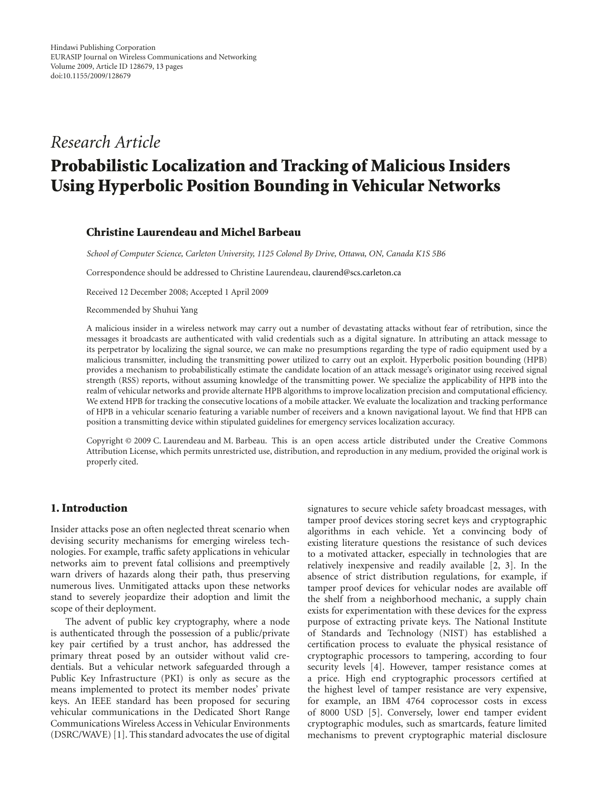# *Research Article*

# **Probabilistic Localization and Tracking of Malicious Insiders Using Hyperbolic Position Bounding in Vehicular Networks**

# **Christine Laurendeau and Michel Barbeau**

*School of Computer Science, Carleton University, 1125 Colonel By Drive, Ottawa, ON, Canada K1S 5B6*

Correspondence should be addressed to Christine Laurendeau, claurend@scs.carleton.ca

Received 12 December 2008; Accepted 1 April 2009

Recommended by Shuhui Yang

A malicious insider in a wireless network may carry out a number of devastating attacks without fear of retribution, since the messages it broadcasts are authenticated with valid credentials such as a digital signature. In attributing an attack message to its perpetrator by localizing the signal source, we can make no presumptions regarding the type of radio equipment used by a malicious transmitter, including the transmitting power utilized to carry out an exploit. Hyperbolic position bounding (HPB) provides a mechanism to probabilistically estimate the candidate location of an attack message's originator using received signal strength (RSS) reports, without assuming knowledge of the transmitting power. We specialize the applicability of HPB into the realm of vehicular networks and provide alternate HPB algorithms to improve localization precision and computational efficiency. We extend HPB for tracking the consecutive locations of a mobile attacker. We evaluate the localization and tracking performance of HPB in a vehicular scenario featuring a variable number of receivers and a known navigational layout. We find that HPB can position a transmitting device within stipulated guidelines for emergency services localization accuracy.

Copyright © 2009 C. Laurendeau and M. Barbeau. This is an open access article distributed under the Creative Commons Attribution License, which permits unrestricted use, distribution, and reproduction in any medium, provided the original work is properly cited.

# **1. Introduction**

Insider attacks pose an often neglected threat scenario when devising security mechanisms for emerging wireless technologies. For example, traffic safety applications in vehicular networks aim to prevent fatal collisions and preemptively warn drivers of hazards along their path, thus preserving numerous lives. Unmitigated attacks upon these networks stand to severely jeopardize their adoption and limit the scope of their deployment.

The advent of public key cryptography, where a node is authenticated through the possession of a public/private key pair certified by a trust anchor, has addressed the primary threat posed by an outsider without valid credentials. But a vehicular network safeguarded through a Public Key Infrastructure (PKI) is only as secure as the means implemented to protect its member nodes' private keys. An IEEE standard has been proposed for securing vehicular communications in the Dedicated Short Range Communications Wireless Access in Vehicular Environments (DSRC/WAVE) [1]. This standard advocates the use of digital

signatures to secure vehicle safety broadcast messages, with tamper proof devices storing secret keys and cryptographic algorithms in each vehicle. Yet a convincing body of existing literature questions the resistance of such devices to a motivated attacker, especially in technologies that are relatively inexpensive and readily available [2, 3]. In the absence of strict distribution regulations, for example, if tamper proof devices for vehicular nodes are available off the shelf from a neighborhood mechanic, a supply chain exists for experimentation with these devices for the express purpose of extracting private keys. The National Institute of Standards and Technology (NIST) has established a certification process to evaluate the physical resistance of cryptographic processors to tampering, according to four security levels [4]. However, tamper resistance comes at a price. High end cryptographic processors certified at the highest level of tamper resistance are very expensive, for example, an IBM 4764 coprocessor costs in excess of 8000 USD [5]. Conversely, lower end tamper evident cryptographic modules, such as smartcards, feature limited mechanisms to prevent cryptographic material disclosure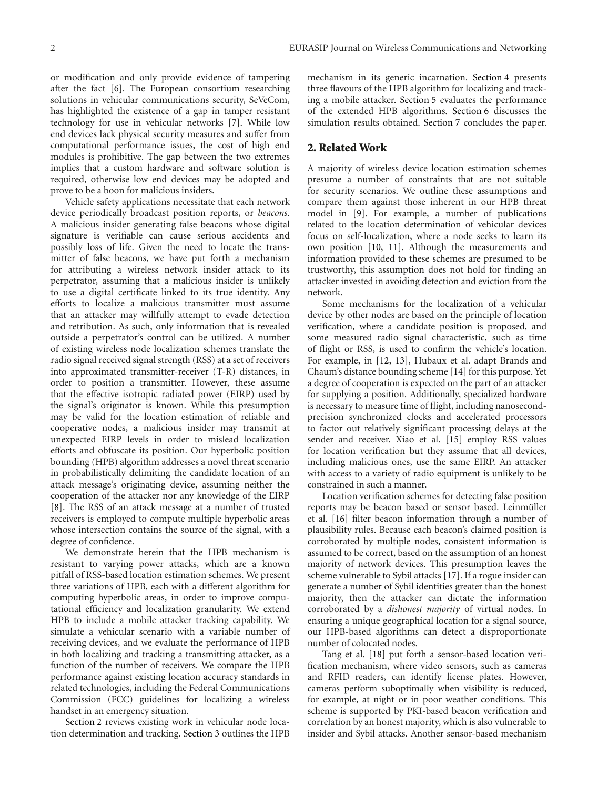or modification and only provide evidence of tampering after the fact [6]. The European consortium researching solutions in vehicular communications security, SeVeCom, has highlighted the existence of a gap in tamper resistant technology for use in vehicular networks [7]. While low end devices lack physical security measures and suffer from computational performance issues, the cost of high end modules is prohibitive. The gap between the two extremes implies that a custom hardware and software solution is required, otherwise low end devices may be adopted and prove to be a boon for malicious insiders.

Vehicle safety applications necessitate that each network device periodically broadcast position reports, or *beacons*. A malicious insider generating false beacons whose digital signature is verifiable can cause serious accidents and possibly loss of life. Given the need to locate the transmitter of false beacons, we have put forth a mechanism for attributing a wireless network insider attack to its perpetrator, assuming that a malicious insider is unlikely to use a digital certificate linked to its true identity. Any efforts to localize a malicious transmitter must assume that an attacker may willfully attempt to evade detection and retribution. As such, only information that is revealed outside a perpetrator's control can be utilized. A number of existing wireless node localization schemes translate the radio signal received signal strength (RSS) at a set of receivers into approximated transmitter-receiver (T-R) distances, in order to position a transmitter. However, these assume that the effective isotropic radiated power (EIRP) used by the signal's originator is known. While this presumption may be valid for the location estimation of reliable and cooperative nodes, a malicious insider may transmit at unexpected EIRP levels in order to mislead localization efforts and obfuscate its position. Our hyperbolic position bounding (HPB) algorithm addresses a novel threat scenario in probabilistically delimiting the candidate location of an attack message's originating device, assuming neither the cooperation of the attacker nor any knowledge of the EIRP [8]. The RSS of an attack message at a number of trusted receivers is employed to compute multiple hyperbolic areas whose intersection contains the source of the signal, with a degree of confidence.

We demonstrate herein that the HPB mechanism is resistant to varying power attacks, which are a known pitfall of RSS-based location estimation schemes. We present three variations of HPB, each with a different algorithm for computing hyperbolic areas, in order to improve computational efficiency and localization granularity. We extend HPB to include a mobile attacker tracking capability. We simulate a vehicular scenario with a variable number of receiving devices, and we evaluate the performance of HPB in both localizing and tracking a transmitting attacker, as a function of the number of receivers. We compare the HPB performance against existing location accuracy standards in related technologies, including the Federal Communications Commission (FCC) guidelines for localizing a wireless handset in an emergency situation.

Section 2 reviews existing work in vehicular node location determination and tracking. Section 3 outlines the HPB mechanism in its generic incarnation. Section 4 presents three flavours of the HPB algorithm for localizing and tracking a mobile attacker. Section 5 evaluates the performance of the extended HPB algorithms. Section 6 discusses the simulation results obtained. Section 7 concludes the paper.

## **2. Related Work**

A majority of wireless device location estimation schemes presume a number of constraints that are not suitable for security scenarios. We outline these assumptions and compare them against those inherent in our HPB threat model in [9]. For example, a number of publications related to the location determination of vehicular devices focus on self-localization, where a node seeks to learn its own position [10, 11]. Although the measurements and information provided to these schemes are presumed to be trustworthy, this assumption does not hold for finding an attacker invested in avoiding detection and eviction from the network.

Some mechanisms for the localization of a vehicular device by other nodes are based on the principle of location verification, where a candidate position is proposed, and some measured radio signal characteristic, such as time of flight or RSS, is used to confirm the vehicle's location. For example, in [12, 13], Hubaux et al. adapt Brands and Chaum's distance bounding scheme [14] for this purpose. Yet a degree of cooperation is expected on the part of an attacker for supplying a position. Additionally, specialized hardware is necessary to measure time of flight, including nanosecondprecision synchronized clocks and accelerated processors to factor out relatively significant processing delays at the sender and receiver. Xiao et al. [15] employ RSS values for location verification but they assume that all devices, including malicious ones, use the same EIRP. An attacker with access to a variety of radio equipment is unlikely to be constrained in such a manner.

Location verification schemes for detecting false position reports may be beacon based or sensor based. Leinmüller et al. [16] filter beacon information through a number of plausibility rules. Because each beacon's claimed position is corroborated by multiple nodes, consistent information is assumed to be correct, based on the assumption of an honest majority of network devices. This presumption leaves the scheme vulnerable to Sybil attacks [17]. If a rogue insider can generate a number of Sybil identities greater than the honest majority, then the attacker can dictate the information corroborated by a *dishonest majority* of virtual nodes. In ensuring a unique geographical location for a signal source, our HPB-based algorithms can detect a disproportionate number of colocated nodes.

Tang et al. [18] put forth a sensor-based location verification mechanism, where video sensors, such as cameras and RFID readers, can identify license plates. However, cameras perform suboptimally when visibility is reduced, for example, at night or in poor weather conditions. This scheme is supported by PKI-based beacon verification and correlation by an honest majority, which is also vulnerable to insider and Sybil attacks. Another sensor-based mechanism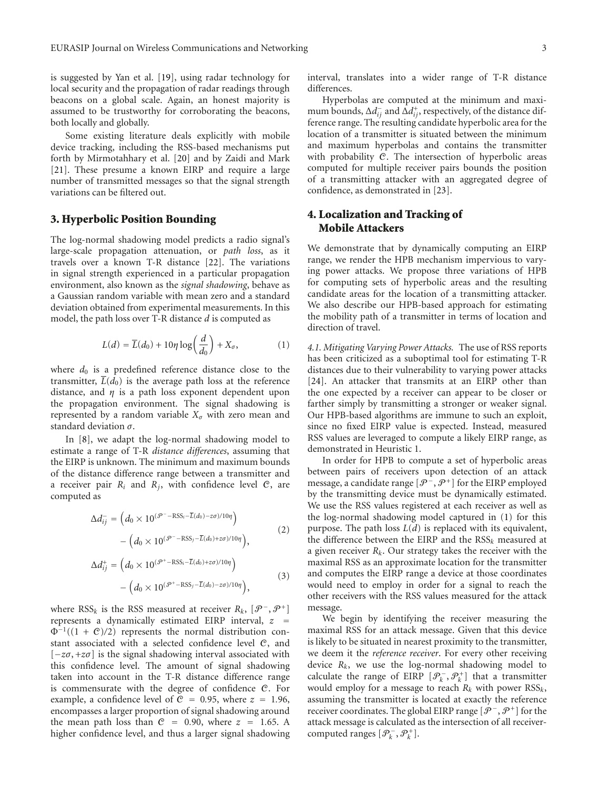is suggested by Yan et al. [19], using radar technology for local security and the propagation of radar readings through beacons on a global scale. Again, an honest majority is assumed to be trustworthy for corroborating the beacons, both locally and globally.

Some existing literature deals explicitly with mobile device tracking, including the RSS-based mechanisms put forth by Mirmotahhary et al. [20] and by Zaidi and Mark [21]. These presume a known EIRP and require a large number of transmitted messages so that the signal strength variations can be filtered out.

#### **3. Hyperbolic Position Bounding**

The log-normal shadowing model predicts a radio signal's large-scale propagation attenuation, or *path loss*, as it travels over a known T-R distance [22]. The variations in signal strength experienced in a particular propagation environment, also known as the *signal shadowing*, behave as a Gaussian random variable with mean zero and a standard deviation obtained from experimental measurements. In this model, the path loss over T-R distance *d* is computed as

$$
L(d) = \overline{L}(d_0) + 10\eta \log\left(\frac{d}{d_0}\right) + X_{\sigma},\tag{1}
$$

where  $d_0$  is a predefined reference distance close to the transmitter,  $\bar{L}(d_0)$  is the average path loss at the reference distance, and *η* is a path loss exponent dependent upon the propagation environment. The signal shadowing is represented by a random variable  $X_{\sigma}$  with zero mean and standard deviation *σ*.

In [8], we adapt the log-normal shadowing model to estimate a range of T-R *distance differences*, assuming that the EIRP is unknown. The minimum and maximum bounds of the distance difference range between a transmitter and a receiver pair  $R_i$  and  $R_j$ , with confidence level  $C$ , are computed as

$$
\Delta d_{ij}^- = \left( d_0 \times 10^{(\mathcal{P}^- - \text{RSS}_i - \overline{L}(d_0) - z\sigma)/10\eta} \right) - \left( d_0 \times 10^{(\mathcal{P}^- - \text{RSS}_j - \overline{L}(d_0) + z\sigma)/10\eta} \right),
$$
 (2)

$$
\Delta d_{ij}^+ = \left(d_0 \times 10^{(\mathcal{P}^+ - \text{RSS}_i - \overline{L}(d_0) + z\sigma)/10\eta}\right) - \left(d_0 \times 10^{(\mathcal{P}^+ - \text{RSS}_j - \overline{L}(d_0) - z\sigma)/10\eta}\right),
$$
\n(3)

where RSS<sub>k</sub> is the RSS measured at receiver  $R_k$ ,  $[\mathcal{P}^{-}, \mathcal{P}^{+}]$ represents a dynamically estimated EIRP interval, *z* = Φ−1((1 + C)*/*2) represents the normal distribution constant associated with a selected confidence level C, and [−*zσ*, +*zσ*] is the signal shadowing interval associated with this confidence level. The amount of signal shadowing taken into account in the T-R distance difference range is commensurate with the degree of confidence C. For example, a confidence level of  $C = 0.95$ , where  $z = 1.96$ , encompasses a larger proportion of signal shadowing around the mean path loss than  $C = 0.90$ , where  $z = 1.65$ . A higher confidence level, and thus a larger signal shadowing

interval, translates into a wider range of T-R distance differences.

Hyperbolas are computed at the minimum and maximum bounds,  $\Delta d_{ij}^-$  and  $\Delta d_{ij}^+$ , respectively, of the distance difference range. The resulting candidate hyperbolic area for the location of a transmitter is situated between the minimum and maximum hyperbolas and contains the transmitter with probability C. The intersection of hyperbolic areas computed for multiple receiver pairs bounds the position of a transmitting attacker with an aggregated degree of confidence, as demonstrated in [23].

# **4. Localization and Tracking of Mobile Attackers**

We demonstrate that by dynamically computing an EIRP range, we render the HPB mechanism impervious to varying power attacks. We propose three variations of HPB for computing sets of hyperbolic areas and the resulting candidate areas for the location of a transmitting attacker. We also describe our HPB-based approach for estimating the mobility path of a transmitter in terms of location and direction of travel.

*4.1. Mitigating Varying Power Attacks.* The use of RSS reports has been criticized as a suboptimal tool for estimating T-R distances due to their vulnerability to varying power attacks [24]. An attacker that transmits at an EIRP other than the one expected by a receiver can appear to be closer or farther simply by transmitting a stronger or weaker signal. Our HPB-based algorithms are immune to such an exploit, since no fixed EIRP value is expected. Instead, measured RSS values are leveraged to compute a likely EIRP range, as demonstrated in Heuristic 1.

In order for HPB to compute a set of hyperbolic areas between pairs of receivers upon detection of an attack message, a candidate range  $[\mathcal{P}^-, \mathcal{P}^+]$  for the EIRP employed by the transmitting device must be dynamically estimated. We use the RSS values registered at each receiver as well as the log-normal shadowing model captured in (1) for this purpose. The path loss  $L(d)$  is replaced with its equivalent, the difference between the EIRP and the RSS*<sup>k</sup>* measured at a given receiver  $R_k$ . Our strategy takes the receiver with the maximal RSS as an approximate location for the transmitter and computes the EIRP range a device at those coordinates would need to employ in order for a signal to reach the other receivers with the RSS values measured for the attack message.

We begin by identifying the receiver measuring the maximal RSS for an attack message. Given that this device is likely to be situated in nearest proximity to the transmitter, we deem it the *reference receiver*. For every other receiving device *Rk*, we use the log-normal shadowing model to calculate the range of EIRP  $[\mathcal{P}_k^-, \mathcal{P}_k^+]$  that a transmitter would employ for a message to reach *Rk* with power RSS*k*, assuming the transmitter is located at exactly the reference receiver coordinates. The global EIRP range  $[\mathcal{P}^{-}, \mathcal{P}^{+}]$  for the attack message is calculated as the intersection of all receivercomputed ranges  $[\mathcal{P}_k^-, \mathcal{P}_k^+]$ .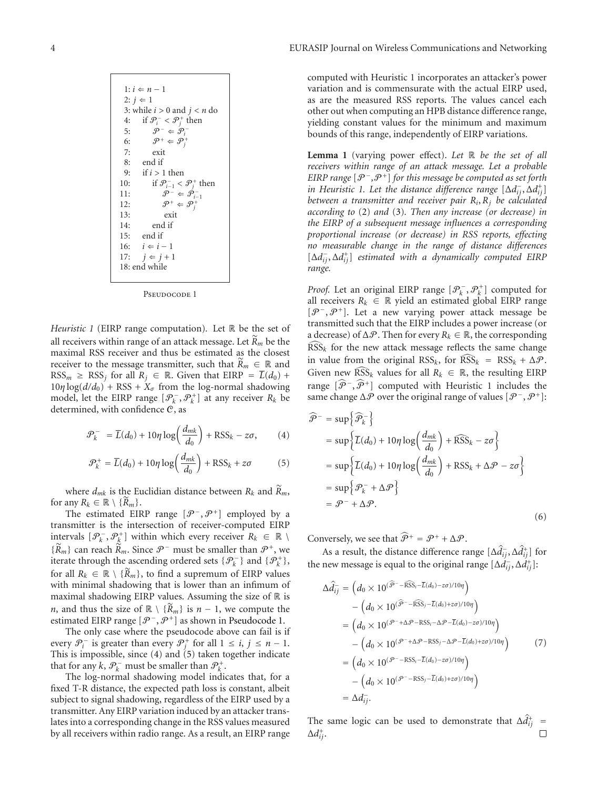|                                 | $1: i \Leftarrow n-1$                           |  |  |  |  |  |  |
|---------------------------------|-------------------------------------------------|--|--|--|--|--|--|
| 2: $i \in I$                    |                                                 |  |  |  |  |  |  |
|                                 |                                                 |  |  |  |  |  |  |
| 3: while $i > 0$ and $j < n$ do |                                                 |  |  |  |  |  |  |
| 4:                              | if $\mathcal{P}_i^- < \mathcal{P}_i^+$ then     |  |  |  |  |  |  |
| 5:                              | $\mathcal{P}^- \Leftarrow \mathcal{P}^-_i$      |  |  |  |  |  |  |
| 6:                              | $\mathcal{P}^+ \Leftarrow \mathcal{P}^+_i$      |  |  |  |  |  |  |
| 7:                              | exit                                            |  |  |  |  |  |  |
|                                 | 8: end if                                       |  |  |  |  |  |  |
|                                 | 9: if $i > 1$ then                              |  |  |  |  |  |  |
| 10:                             | if $\mathcal{P}_{i-1}^- < \mathcal{P}_j^+$ then |  |  |  |  |  |  |
| 11:                             | $\mathcal{P}^- \Leftarrow \mathcal{P}_{i-1}^-$  |  |  |  |  |  |  |
| 12:                             | $\mathcal{P}^+ \Leftarrow \mathcal{P}^+_i$      |  |  |  |  |  |  |
| 13:                             | exit                                            |  |  |  |  |  |  |
| 14:                             | end if                                          |  |  |  |  |  |  |
|                                 | 15: end if                                      |  |  |  |  |  |  |
|                                 | 16: $i \Leftarrow i - 1$                        |  |  |  |  |  |  |
| 17:                             | $j \Leftarrow j+1$                              |  |  |  |  |  |  |
|                                 | 18: end while                                   |  |  |  |  |  |  |

Pseudocode 1

*Heuristic 1* (EIRP range computation). Let R be the set of all receivers within range of an attack message. Let *<sup>R</sup><sup>m</sup>* be the maximal RSS receiver and thus be estimated as the closest receiver to the message transmitter, such that  $\overline{R}_m \in \mathbb{R}$  and  $RSS_m \geq RSS_j$  for all  $R_j \in \mathbb{R}$ . Given that EIRP =  $\overline{L}(d_0)$  +  $10\eta \log(d/d_0)$  + RSS +  $X_\sigma$  from the log-normal shadowing model, let the EIRP range  $[\mathcal{P}_k^-, \mathcal{P}_k^+]$  at any receiver  $R_k$  be determined, with confidence C, as

$$
\mathcal{P}_k^- = \overline{L}(d_0) + 10\eta \log \left( \frac{d_{mk}}{d_0} \right) + \text{RSS}_k - z\sigma,
$$
 (4)

$$
\mathcal{P}_k^+ = \overline{L}(d_0) + 10\eta \log\left(\frac{d_{mk}}{d_0}\right) + \text{RSS}_k + z\sigma \tag{5}
$$

where  $d_{mk}$  is the Euclidian distance between  $R_k$  and  $\widetilde{R}_m$ , for any  $R_k \in \mathbb{R} \setminus \{R_m\}.$ 

The estimated EIRP range  $[\mathcal{P}^{-}, \mathcal{P}^{+}]$  employed by a transmitter is the intersection of receiver-computed EIRP intervals  $[\mathcal{P}_k^-, \mathcal{P}_k^+]$  within which every receiver  $R_k \in \mathbb{R} \setminus \mathbb{R}$  ${\{\widetilde{R}_m\}}$  can reach  ${\widetilde{R}_m}$ . Since  $\mathcal{P}^-$  must be smaller than  $\mathcal{P}^+$ , we iterate through the ascending ordered sets  $\{\mathcal{P}_k^-\}$  and  $\{\mathcal{P}_k^+\}$ , for all  $R_k \in \mathbb{R} \setminus \{ \widetilde{R}_m \}$ , to find a supremum of EIRP values with minimal shadowing that is lower than an infimum of maximal shadowing EIRP values. Assuming the size of  $\mathbb R$  is *n*, and thus the size of  $\mathbb{R} \setminus {\{\widetilde{R}_m\}}$  is  $n-1$ , we compute the estimated EIRP range  $[\mathcal{P}^{-}, \mathcal{P}^{+}]$  as shown in Pseudocode 1.

The only case where the pseudocode above can fail is if every  $\mathcal{P}_i^-$  is greater than every  $\mathcal{P}_j^+$  for all  $1 \le i, j \le n - 1$ . This is impossible, since (4) and (5) taken together indicate that for any  $k$ ,  $\mathcal{P}_k^-$  must be smaller than  $\mathcal{P}_k^+$ .

The log-normal shadowing model indicates that, for a fixed T-R distance, the expected path loss is constant, albeit subject to signal shadowing, regardless of the EIRP used by a transmitter. Any EIRP variation induced by an attacker translates into a corresponding change in the RSS values measured by all receivers within radio range. As a result, an EIRP range computed with Heuristic 1 incorporates an attacker's power variation and is commensurate with the actual EIRP used, as are the measured RSS reports. The values cancel each other out when computing an HPB distance difference range, yielding constant values for the minimum and maximum bounds of this range, independently of EIRP variations.

**Lemma 1** (varying power effect). *Let* R *be the set of all receivers within range of an attack message. Let a probable EIRP range*  $[\mathcal{P}^{-}, \mathcal{P}^{+}]$  *for this message be computed as set forth in Heuristic 1. Let the distance difference range*  $[\Delta d_{ij}^-, \Delta d_{ij}^+]$ *between a transmitter and receiver pair Ri*, *Rj be calculated according to* (2) *and* (3)*. Then any increase (or decrease) in the EIRP of a subsequent message influences a corresponding proportional increase (or decrease) in RSS reports, effecting no measurable change in the range of distance differences* [Δ*d*<sup>−</sup> *ij* ,Δ*d*<sup>+</sup> *ij*] *estimated with a dynamically computed EIRP range.*

*Proof.* Let an original EIRP range  $[\mathcal{P}_k^-, \mathcal{P}_k^+]$  computed for all receivers  $R_k \in \mathbb{R}$  yield an estimated global EIRP range  $[\mathcal{P}^{-}, \mathcal{P}^{+}]$ . Let a new varying power attack message be transmitted such that the EIRP includes a power increase (or a decrease) of  $\Delta \mathcal{P}$ . Then for every  $R_k \in \mathbb{R}$ , the corresponding  $RSS_{k}$  for the new attack message reflects the same change in value from the original RSS<sub>k</sub>, for  $\widehat{\text{RSS}}_k = \text{RSS}_k + \Delta \mathcal{P}$ . Given new  $\widehat{R}S\widehat{S}_k$  values for all  $R_k \in \mathbb{R}$ , the resulting EIRP range  $[\widehat{P}^{-}, \widehat{P}^{+}]$  computed with Heuristic 1 includes the same change  $\Delta \mathcal{P}$  over the original range of values  $[\mathcal{P}^{-}, \mathcal{P}^{+}]$ :

$$
\widehat{\mathcal{P}}^{-} = \sup \{\widehat{\mathcal{P}}_k^{-}\}\
$$
  
=  $\sup \{ \widehat{L}(d_0) + 10\eta \log \left( \frac{d_{mk}}{d_0} \right) + \widehat{RSS}_k - z\sigma \}$   
=  $\sup \{ \overline{L}(d_0) + 10\eta \log \left( \frac{d_{mk}}{d_0} \right) + \text{RSS}_k + \Delta \mathcal{P} - z\sigma \}$   
=  $\sup \{ \mathcal{P}_k^{-} + \Delta \mathcal{P} \}$   
=  $\mathcal{P}^{-} + \Delta \mathcal{P}.$  (6)

Conversely, we see that  $\widehat{\mathcal{P}}^+ = \mathcal{P}^+ + \Delta \mathcal{P}$ .

As a result, the distance difference range  $[\Delta \hat{d}_{ij}, \Delta \hat{d}_{ij}]$  for the new message is equal to the original range  $[\Delta d_{ij}^-, \Delta d_{ij}^+]$ :

$$
\Delta \hat{d}_{ij}^- = \left( d_0 \times 10^{(\widehat{\mathcal{P}}^{\,-} - \widehat{\text{RSS}}_i - \overline{L}(d_0) - z\sigma)/10\eta} \right) \n- \left( d_0 \times 10^{(\widehat{\mathcal{P}}^{\,-} - \widehat{\text{RSS}}_j - \overline{L}(d_0) + z\sigma)/10\eta} \right) \n= \left( d_0 \times 10^{(\mathcal{P}^{\,-} + \Delta\mathcal{P} - \text{RSS}_i - \Delta\mathcal{P} - \overline{L}(d_0) - z\sigma)/10\eta} \right) \n- \left( d_0 \times 10^{(\mathcal{P}^{\,-} + \Delta\mathcal{P} - \text{RSS}_j - \Delta\mathcal{P} - \overline{L}(d_0) + z\sigma)/10\eta} \right) \n= \left( d_0 \times 10^{(\mathcal{P}^{\,-} - \text{RSS}_i - \overline{L}(d_0) - z\sigma)/10\eta} \right) \n- \left( d_0 \times 10^{(\mathcal{P}^{\,-} - \text{RSS}_j - \overline{L}(d_0) + z\sigma)/10\eta} \right) \n= \Delta d_{ij}^{\,-}.
$$
\n(1)

The same logic can be used to demonstrate that  $\Delta \hat{d}_{ij}^{+}$  =  $\Delta d_{ij}^+$ .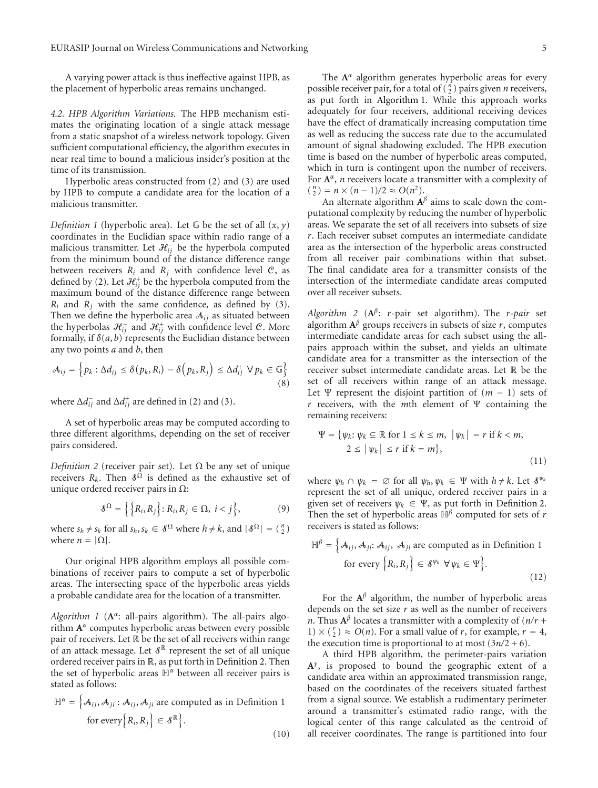A varying power attack is thus ineffective against HPB, as the placement of hyperbolic areas remains unchanged.

*4.2. HPB Algorithm Variations.* The HPB mechanism estimates the originating location of a single attack message from a static snapshot of a wireless network topology. Given sufficient computational efficiency, the algorithm executes in near real time to bound a malicious insider's position at the time of its transmission.

Hyperbolic areas constructed from (2) and (3) are used by HPB to compute a candidate area for the location of a malicious transmitter.

*Definition 1* (hyperbolic area). Let  $\mathbb{G}$  be the set of all  $(x, y)$ coordinates in the Euclidian space within radio range of a malicious transmitter. Let  $\mathcal{H}^-_{ij}$  be the hyperbola computed from the minimum bound of the distance difference range between receivers  $R_i$  and  $R_j$  with confidence level  $C$ , as defined by (2). Let  $\mathcal{H}_{ij}^+$  be the hyperbola computed from the maximum bound of the distance difference range between  $R_i$  and  $R_j$  with the same confidence, as defined by (3). Then we define the hyperbolic area  $A_{ij}$  as situated between the hyperbolas  $\mathcal{H}^-_{ij}$  and  $\mathcal{H}^+_{ij}$  with confidence level C. More formally, if  $\delta(a, b)$  represents the Euclidian distance between any two points *a* and *b*, then

$$
\mathcal{A}_{ij} = \left\{ p_k : \Delta d_{ij}^- \leq \delta(p_k, R_i) - \delta(p_k, R_j) \leq \Delta d_{ij}^+ \ \forall \, p_k \in \mathbb{G} \right\}
$$
\n(8)

where  $\Delta d_{ij}^-$  and  $\Delta d_{ij}^+$  are defined in (2) and (3).

A set of hyperbolic areas may be computed according to three different algorithms, depending on the set of receiver pairs considered.

*Definition 2* (receiver pair set). Let  $\Omega$  be any set of unique receivers  $R_k$ . Then  $\delta^{\hat{\Omega}}$  is defined as the exhaustive set of unique ordered receiver pairs in  $\Omega$ :

$$
\delta^{\Omega} = \left\{ \left\{ R_i, R_j \right\} : R_i, R_j \in \Omega, i < j \right\},\tag{9}
$$

where  $s_h \neq s_k$  for all  $s_h, s_k \in \mathcal{S}^{\Omega}$  where  $h \neq k$ , and  $|\mathcal{S}^{\Omega}| = {n \choose 2}$ where  $n = |\Omega|$ .

Our original HPB algorithm employs all possible combinations of receiver pairs to compute a set of hyperbolic areas. The intersecting space of the hyperbolic areas yields a probable candidate area for the location of a transmitter.

*Algorithm 1* (**A***<sup>α</sup>*: all-pairs algorithm). The all-pairs algorithm **A***<sup>α</sup>* computes hyperbolic areas between every possible pair of receivers. Let  $\mathbb R$  be the set of all receivers within range of an attack message. Let  $S^{\mathbb{R}}$  represent the set of all unique ordered receiver pairs in R, as put forth in Definition 2. Then the set of hyperbolic areas H*<sup>α</sup>* between all receiver pairs is stated as follows:

$$
\mathbb{H}^{\alpha} = \left\{ \mathcal{A}_{ij}, \mathcal{A}_{ji} : \mathcal{A}_{ij}, \mathcal{A}_{ji} \text{ are computed as in Definition 1} \right\}
$$
\n
$$
\text{for every } \left\{ R_i, R_j \right\} \in \mathcal{S}^{\mathbb{R}} \left\}.
$$
\n
$$
(10)
$$

The  $A^{\alpha}$  algorithm generates hyperbolic areas for every possible receiver pair, for a total of ( *<sup>n</sup>* <sup>2</sup> ) pairs given *n* receivers, as put forth in Algorithm 1. While this approach works adequately for four receivers, additional receiving devices have the effect of dramatically increasing computation time as well as reducing the success rate due to the accumulated amount of signal shadowing excluded. The HPB execution time is based on the number of hyperbolic areas computed, which in turn is contingent upon the number of receivers. For **A***α*, *n* receivers locate a transmitter with a complexity of  $\binom{n}{2} = n \times (n-1)/2 \approx O(n^2).$ 

An alternate algorithm  $A^{\beta}$  aims to scale down the computational complexity by reducing the number of hyperbolic areas. We separate the set of all receivers into subsets of size *r*. Each receiver subset computes an intermediate candidate area as the intersection of the hyperbolic areas constructed from all receiver pair combinations within that subset. The final candidate area for a transmitter consists of the intersection of the intermediate candidate areas computed over all receiver subsets.

*Algorithm 2* (**A***<sup>β</sup>*: *r*-pair set algorithm). The *r*-*pair* set algorithm  $A^{\beta}$  groups receivers in subsets of size *r*, computes intermediate candidate areas for each subset using the allpairs approach within the subset, and yields an ultimate candidate area for a transmitter as the intersection of the receiver subset intermediate candidate areas. Let R be the set of all receivers within range of an attack message. Let  $\Psi$  represent the disjoint partition of  $(m - 1)$  sets of *r* receivers, with the *m*th element of Ψ containing the remaining receivers:

$$
\Psi = \{ \psi_k : \psi_k \subseteq \mathbb{R} \text{ for } 1 \le k \le m, \ |\psi_k| = r \text{ if } k < m, \ 2 \le |\psi_k| \le r \text{ if } k = m \},\tag{11}
$$

where  $\psi_h \cap \psi_k = \emptyset$  for all  $\psi_h, \psi_k \in \Psi$  with  $h \neq k$ . Let  $\mathcal{S}^{\psi_k}$ represent the set of all unique, ordered receiver pairs in a given set of receivers  $\psi_k \in \Psi$ , as put forth in Definition 2. Then the set of hyperbolic areas H*<sup>β</sup>* computed for sets of *r* receivers is stated as follows:

$$
\mathbb{H}^{\beta} = \left\{ \mathcal{A}_{ij}, \mathcal{A}_{ji}: \mathcal{A}_{ij}, \mathcal{A}_{ji} \text{ are computed as in Definition 1} \right.
$$
  
for every  $\left\{ R_i, R_j \right\} \in \mathcal{S}^{\psi_k} \ \forall \psi_k \in \Psi \right\}.$  (12)

For the  $A^{\beta}$  algorithm, the number of hyperbolic areas depends on the set size *r* as well as the number of receivers *n*. Thus  $A^{\beta}$  locates a transmitter with a complexity of  $(n/r +$ 1)  $\times$  ( $\frac{r}{2}$ )  $\approx$  *O*(*n*). For a small value of *r*, for example, *r* = 4, the execution time is proportional to at most  $(3n/2 + 6)$ .

A third HPB algorithm, the perimeter-pairs variation **A***<sup>γ</sup>*, is proposed to bound the geographic extent of a candidate area within an approximated transmission range, based on the coordinates of the receivers situated farthest from a signal source. We establish a rudimentary perimeter around a transmitter's estimated radio range, with the logical center of this range calculated as the centroid of all receiver coordinates. The range is partitioned into four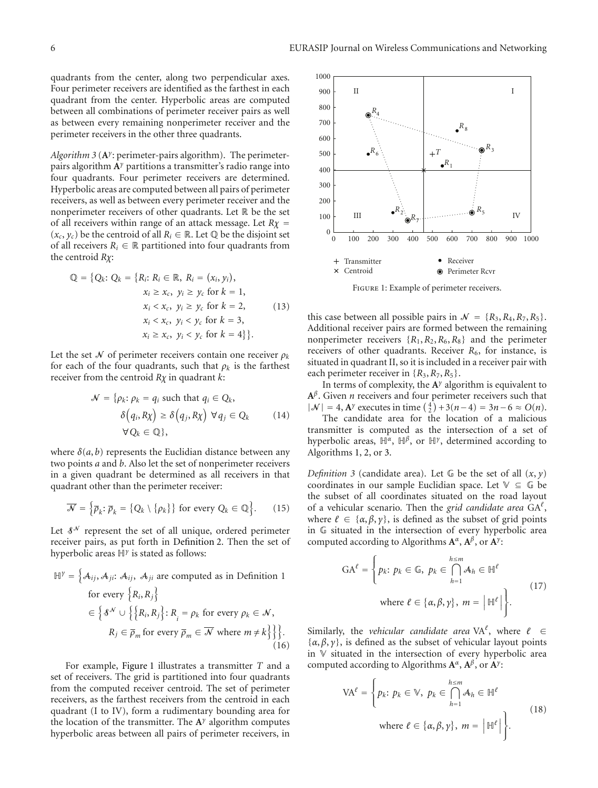quadrants from the center, along two perpendicular axes. Four perimeter receivers are identified as the farthest in each quadrant from the center. Hyperbolic areas are computed between all combinations of perimeter receiver pairs as well as between every remaining nonperimeter receiver and the perimeter receivers in the other three quadrants.

*Algorithm 3* (**A***γ*: perimeter-pairs algorithm). The perimeterpairs algorithm **A***<sup>γ</sup>* partitions a transmitter's radio range into four quadrants. Four perimeter receivers are determined. Hyperbolic areas are computed between all pairs of perimeter receivers, as well as between every perimeter receiver and the nonperimeter receivers of other quadrants. Let R be the set of all receivers within range of an attack message. Let  $R\chi$  =  $(x_c, y_c)$  be the centroid of all  $R_i \in \mathbb{R}$ . Let  $\mathbb Q$  be the disjoint set of all receivers  $R_i \in \mathbb{R}$  partitioned into four quadrants from the centroid *Rχ*:

$$
\mathbb{Q} = \{Q_k: Q_k = \{R_i: R_i \in \mathbb{R}, R_i = (x_i, y_i),
$$
  
\n $x_i \ge x_c, y_i \ge y_c \text{ for } k = 1,$   
\n $x_i < x_c, y_i \ge y_c \text{ for } k = 2,$   
\n $x_i < x_c, y_i < y_c \text{ for } k = 3,$   
\n $x_i \ge x_c, y_i < y_c \text{ for } k = 4\}.$ \n
$$
(13)
$$

Let the set  $\mathcal N$  of perimeter receivers contain one receiver  $\rho_k$ for each of the four quadrants, such that  $\rho_k$  is the farthest receiver from the centroid *Rχ* in quadrant *k*:

$$
\mathcal{N} = \{ \rho_k : \rho_k = q_i \text{ such that } q_i \in Q_k, \delta(q_i, R\chi) \ge \delta(q_j, R\chi) \ \forall q_j \in Q_k \forall Q_k \in \mathbb{Q} \},
$$
\n(14)

where  $\delta(a, b)$  represents the Euclidian distance between any two points *a* and *b*. Also let the set of nonperimeter receivers in a given quadrant be determined as all receivers in that quadrant other than the perimeter receiver:

$$
\overline{\mathcal{N}} = \left\{ \overline{\rho}_k : \overline{\rho}_k = \{ Q_k \setminus \{ \rho_k \} \} \text{ for every } Q_k \in \mathbb{Q} \right\}. \tag{15}
$$

Let  $\delta^{\mathcal{N}}$  represent the set of all unique, ordered perimeter receiver pairs, as put forth in Definition 2. Then the set of hyperbolic areas H*<sup>γ</sup>* is stated as follows:

$$
\mathbb{H}^{\gamma} = \left\{ \mathcal{A}_{ij}, \mathcal{A}_{ji} : \mathcal{A}_{ij}, \mathcal{A}_{ji} \text{ are computed as in Definition 1} \right\}
$$
  
for every  $\left\{ R_i, R_j \right\}$   

$$
\in \left\{ \mathcal{S}^{\mathcal{N}} \cup \left\{ \left\{ R_i, R_j \right\} : R_i = \rho_k \text{ for every } \rho_k \in \mathcal{N}, \right. \right. \right.
$$

$$
R_j \in \overline{\rho}_m \text{ for every } \overline{\rho}_m \in \overline{\mathcal{N}} \text{ where } m \neq k \right\} \right\} \right\}.
$$
  
(16)

For example, Figure 1 illustrates a transmitter *T* and a set of receivers. The grid is partitioned into four quadrants from the computed receiver centroid. The set of perimeter receivers, as the farthest receivers from the centroid in each quadrant (I to IV), form a rudimentary bounding area for the location of the transmitter. The **A***<sup>γ</sup>* algorithm computes hyperbolic areas between all pairs of perimeter receivers, in



FIGURE 1: Example of perimeter receivers.

this case between all possible pairs in  $\mathcal{N} = \{R_3, R_4, R_7, R_5\}.$ Additional receiver pairs are formed between the remaining nonperimeter receivers  $\{R_1, R_2, R_6, R_8\}$  and the perimeter receivers of other quadrants. Receiver  $R_6$ , for instance, is situated in quadrant II, so it is included in a receiver pair with each perimeter receiver in  $\{R_3, R_7, R_5\}$ .

In terms of complexity, the **A***<sup>γ</sup>* algorithm is equivalent to **A***<sup>β</sup>*. Given *n* receivers and four perimeter receivers such that  $|\mathcal{N}| = 4$ , **A**<sup>*γ*</sup> executes in time  $\binom{4}{2} + 3(n-4) = 3n - 6 \approx O(n)$ .

The candidate area for the location of a malicious transmitter is computed as the intersection of a set of hyperbolic areas, H*<sup>α</sup>*, H*<sup>β</sup>*, or H*<sup>γ</sup>*, determined according to Algorithms 1, 2, or 3.

*Definition 3* (candidate area). Let  $\mathbb{G}$  be the set of all  $(x, y)$ coordinates in our sample Euclidian space. Let  $\mathbb{V} \subseteq \mathbb{G}$  be the subset of all coordinates situated on the road layout of a vehicular scenario. Then the *grid candidate area* GA , where  $\ell \in \{\alpha, \beta, \gamma\}$ , is defined as the subset of grid points in G situated in the intersection of every hyperbolic area computed according to Algorithms **A***<sup>α</sup>*, **A***<sup>β</sup>*, or **A***<sup>γ</sup>*:

$$
GA^{\ell} = \left\{ p_k : p_k \in \mathbb{G}, \ p_k \in \bigcap_{h=1}^{h \le m} A_h \in \mathbb{H}^{\ell} \right\}
$$
  
where  $\ell \in \{\alpha, \beta, \gamma\}, \ m = \left| \mathbb{H}^{\ell} \right| \right\}.$  (17)

Similarly, the *vehicular candidate area* VA<sup> $\ell$ </sup>, where  $\ell \in$  $\{\alpha, \beta, \gamma\}$ , is defined as the subset of vehicular layout points in  $V$  situated in the intersection of every hyperbolic area computed according to Algorithms **A***<sup>α</sup>*, **A***<sup>β</sup>*, or **A***<sup>γ</sup>*:

$$
\text{VA}^{\ell} = \left\{ p_k \colon p_k \in \mathbb{V}, \ p_k \in \bigcap_{h=1}^{h \le m} A_h \in \mathbb{H}^{\ell} \right\}
$$
\n
$$
\text{where } \ell \in \{\alpha, \beta, \gamma\}, \ m = \left| \mathbb{H}^{\ell} \right| \right\}. \tag{18}
$$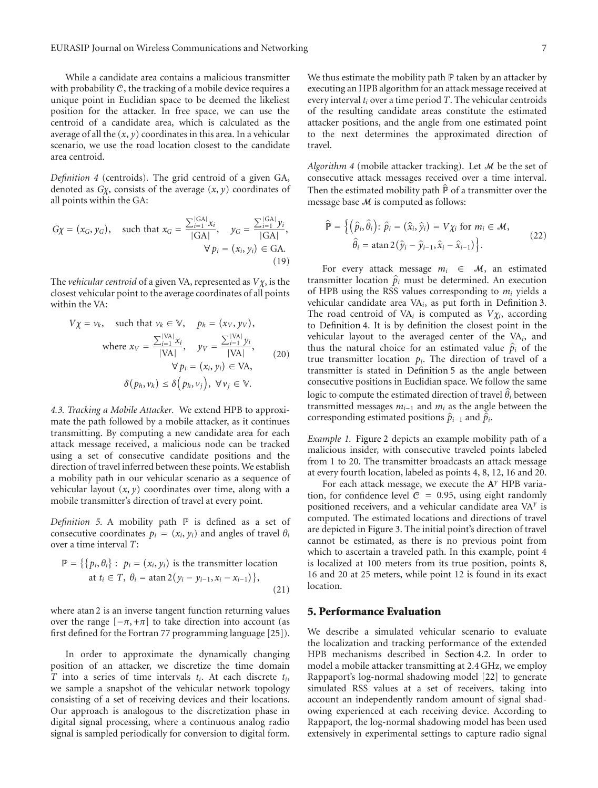While a candidate area contains a malicious transmitter with probability C, the tracking of a mobile device requires a unique point in Euclidian space to be deemed the likeliest position for the attacker. In free space, we can use the centroid of a candidate area, which is calculated as the average of all the  $(x, y)$  coordinates in this area. In a vehicular scenario, we use the road location closest to the candidate area centroid.

*Definition 4* (centroids). The grid centroid of a given GA, denoted as *Gχ*, consists of the average (*x*, *y*) coordinates of all points within the GA:

$$
G\chi = (x_G, y_G), \quad \text{such that } x_G = \frac{\sum_{i=1}^{|GA|} x_i}{|GA|}, \quad y_G = \frac{\sum_{i=1}^{|GA|} y_i}{|GA|},
$$

$$
\forall p_i = (x_i, y_i) \in GA. \tag{19}
$$

The *vehicular centroid* of a given VA, represented as *Vχ*, is the closest vehicular point to the average coordinates of all points within the VA:

$$
V\chi = v_k, \text{ such that } v_k \in \mathbb{V}, \quad p_h = (x_V, y_V),
$$
  
\nwhere  $x_V = \frac{\sum_{i=1}^{|V_A|} x_i}{|V_A|}, \quad y_V = \frac{\sum_{i=1}^{|V_A|} y_i}{|V_A|},$   
\n $\forall p_i = (x_i, y_i) \in VA,$   
\n $\delta(p_h, v_k) \le \delta(p_h, v_j), \quad \forall v_j \in \mathbb{V}.$  (20)

*4.3. Tracking a Mobile Attacker.* We extend HPB to approximate the path followed by a mobile attacker, as it continues transmitting. By computing a new candidate area for each attack message received, a malicious node can be tracked using a set of consecutive candidate positions and the direction of travel inferred between these points. We establish a mobility path in our vehicular scenario as a sequence of vehicular layout  $(x, y)$  coordinates over time, along with a mobile transmitter's direction of travel at every point.

*Definition 5.* A mobility path  $\mathbb P$  is defined as a set of consecutive coordinates  $p_i = (x_i, y_i)$  and angles of travel  $\theta_i$ over a time interval *T*:

$$
\mathbb{P} = \{ \{p_i, \theta_i\} : p_i = (x_i, y_i) \text{ is the transmitter location} \text{at } t_i \in T, \ \theta_i = \text{atan } 2(y_i - y_{i-1}, x_i - x_{i-1}) \}, \tag{21}
$$

where atan 2 is an inverse tangent function returning values over the range  $[-\pi, +\pi]$  to take direction into account (as first defined for the Fortran 77 programming language [25]).

In order to approximate the dynamically changing position of an attacker, we discretize the time domain *T* into a series of time intervals *ti*. At each discrete *ti*, we sample a snapshot of the vehicular network topology consisting of a set of receiving devices and their locations. Our approach is analogous to the discretization phase in digital signal processing, where a continuous analog radio signal is sampled periodically for conversion to digital form.

We thus estimate the mobility path  $P$  taken by an attacker by executing an HPB algorithm for an attack message received at every interval *ti* over a time period *T*. The vehicular centroids of the resulting candidate areas constitute the estimated attacker positions, and the angle from one estimated point to the next determines the approximated direction of travel.

*Algorithm 4* (mobile attacker tracking). Let M be the set of consecutive attack messages received over a time interval. Then the estimated mobility path  $\hat{P}$  of a transmitter over the message base  $M$  is computed as follows:

$$
\widehat{\mathbb{P}} = \left\{ \left( \widehat{p}_i, \widehat{\theta}_i \right) : \widehat{p}_i = (\widehat{x}_i, \widehat{y}_i) = V \chi_i \text{ for } m_i \in \mathcal{M}, \n\widehat{\theta}_i = \operatorname{atan} 2 (\widehat{y}_i - \widehat{y}_{i-1}, \widehat{x}_i - \widehat{x}_{i-1}) \right\}.
$$
\n(22)

For every attack message  $m_i \in \mathcal{M}$ , an estimated transmitter location  $\hat{p}_i$  must be determined. An execution of HPB using the RSS values corresponding to *mi* yields a vehicular candidate area VA*i*, as put forth in Definition 3. The road centroid of  $VA_i$  is computed as  $V\chi_i$ , according to Definition 4. It is by definition the closest point in the vehicular layout to the averaged center of the VA*i*, and thus the natural choice for an estimated value  $\hat{p}_i$  of the true transmitter location  $p_i$ . The direction of travel of a transmitter is stated in Definition 5 as the angle between consecutive positions in Euclidian space. We follow the same logic to compute the estimated direction of travel  $\hat{\theta}_i$  between transmitted messages *mi*−<sup>1</sup> and *mi* as the angle between the corresponding estimated positions  $\hat{p}_{i-1}$  and  $\hat{p}_i$ .

*Example 1.* Figure 2 depicts an example mobility path of a malicious insider, with consecutive traveled points labeled from 1 to 20. The transmitter broadcasts an attack message at every fourth location, labeled as points 4, 8, 12, 16 and 20.

For each attack message, we execute the **A***<sup>γ</sup>* HPB variation, for confidence level  $C = 0.95$ , using eight randomly positioned receivers, and a vehicular candidate area VA*<sup>γ</sup>* is computed. The estimated locations and directions of travel are depicted in Figure 3. The initial point's direction of travel cannot be estimated, as there is no previous point from which to ascertain a traveled path. In this example, point 4 is localized at 100 meters from its true position, points 8, 16 and 20 at 25 meters, while point 12 is found in its exact location.

#### **5. Performance Evaluation**

We describe a simulated vehicular scenario to evaluate the localization and tracking performance of the extended HPB mechanisms described in Section 4.2. In order to model a mobile attacker transmitting at 2.4 GHz, we employ Rappaport's log-normal shadowing model [22] to generate simulated RSS values at a set of receivers, taking into account an independently random amount of signal shadowing experienced at each receiving device. According to Rappaport, the log-normal shadowing model has been used extensively in experimental settings to capture radio signal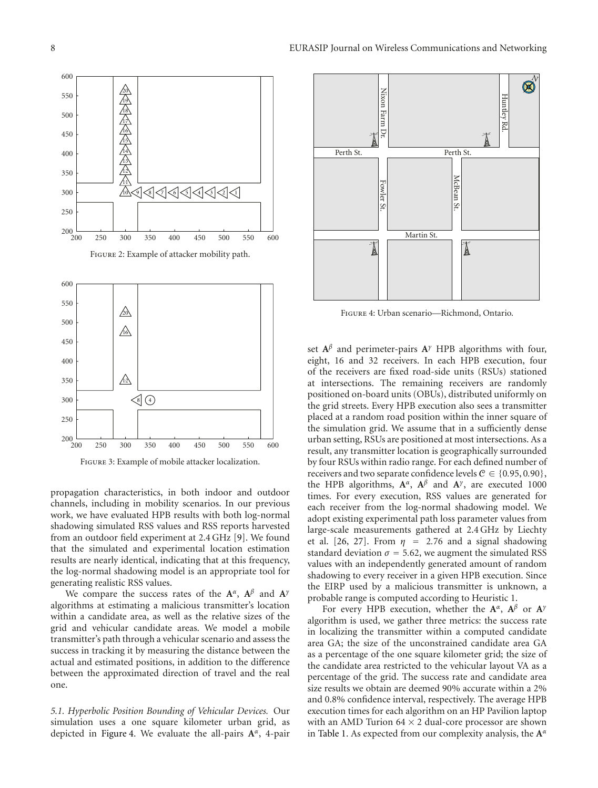





propagation characteristics, in both indoor and outdoor channels, including in mobility scenarios. In our previous work, we have evaluated HPB results with both log-normal shadowing simulated RSS values and RSS reports harvested from an outdoor field experiment at 2.4 GHz [9]. We found that the simulated and experimental location estimation results are nearly identical, indicating that at this frequency, the log-normal shadowing model is an appropriate tool for generating realistic RSS values.

We compare the success rates of the **A***<sup>α</sup>*, **A***<sup>β</sup>* and **A***<sup>γ</sup>* algorithms at estimating a malicious transmitter's location within a candidate area, as well as the relative sizes of the grid and vehicular candidate areas. We model a mobile transmitter's path through a vehicular scenario and assess the success in tracking it by measuring the distance between the actual and estimated positions, in addition to the difference between the approximated direction of travel and the real one.

*5.1. Hyperbolic Position Bounding of Vehicular Devices.* Our simulation uses a one square kilometer urban grid, as depicted in Figure 4. We evaluate the all-pairs **A***<sup>α</sup>*, 4-pair



Figure 4: Urban scenario—Richmond, Ontario.

set  $A^{\beta}$  and perimeter-pairs  $A^{\gamma}$  HPB algorithms with four, eight, 16 and 32 receivers. In each HPB execution, four of the receivers are fixed road-side units (RSUs) stationed at intersections. The remaining receivers are randomly positioned on-board units (OBUs), distributed uniformly on the grid streets. Every HPB execution also sees a transmitter placed at a random road position within the inner square of the simulation grid. We assume that in a sufficiently dense urban setting, RSUs are positioned at most intersections. As a result, any transmitter location is geographically surrounded by four RSUs within radio range. For each defined number of receivers and two separate confidence levels  $C \in \{0.95, 0.90\},\$ the HPB algorithms,  $A^{\alpha}$ ,  $A^{\beta}$  and  $A^{\gamma}$ , are executed 1000 times. For every execution, RSS values are generated for each receiver from the log-normal shadowing model. We adopt existing experimental path loss parameter values from large-scale measurements gathered at 2.4 GHz by Liechty et al. [26, 27]. From  $\eta$  = 2.76 and a signal shadowing standard deviation  $\sigma$  = 5.62, we augment the simulated RSS values with an independently generated amount of random shadowing to every receiver in a given HPB execution. Since the EIRP used by a malicious transmitter is unknown, a probable range is computed according to Heuristic 1.

For every HPB execution, whether the **A***<sup>α</sup>*, **A***<sup>β</sup>* or **A***<sup>γ</sup>* algorithm is used, we gather three metrics: the success rate in localizing the transmitter within a computed candidate area GA; the size of the unconstrained candidate area GA as a percentage of the one square kilometer grid; the size of the candidate area restricted to the vehicular layout VA as a percentage of the grid. The success rate and candidate area size results we obtain are deemed 90% accurate within a 2% and 0.8% confidence interval, respectively. The average HPB execution times for each algorithm on an HP Pavilion laptop with an AMD Turion  $64 \times 2$  dual-core processor are shown in Table 1. As expected from our complexity analysis, the **A***<sup>α</sup>*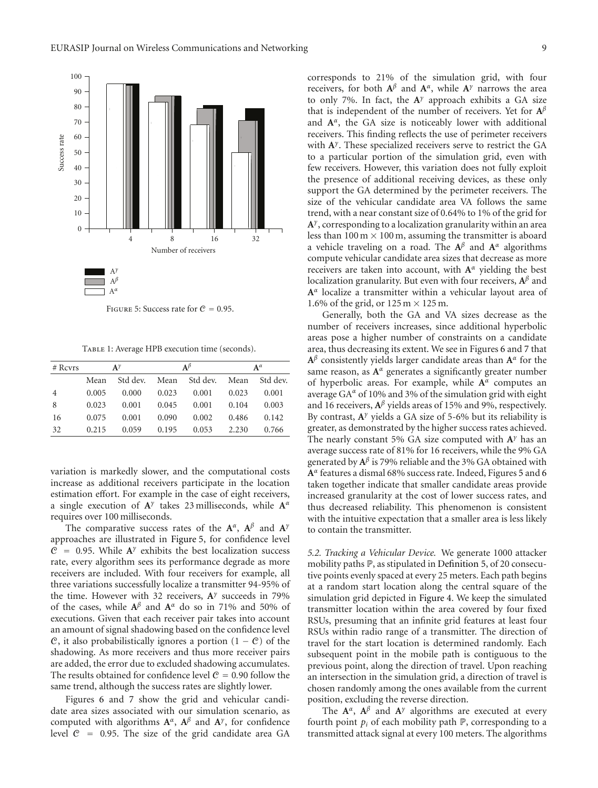

FIGURE 5: Success rate for  $C = 0.95$ .

Table 1: Average HPB execution time (seconds).

| $#$ Rcvrs      | $\mathbf{A}^{\gamma}$ |       | $A^{\beta}$ |                                      | $\mathbf{A}^{\alpha}$ |       |
|----------------|-----------------------|-------|-------------|--------------------------------------|-----------------------|-------|
|                | Mean                  |       |             | Std dev. Mean Std dev. Mean Std dev. |                       |       |
| $\overline{4}$ | 0.005                 | 0.000 | 0.023       | 0.001                                | 0.023                 | 0.001 |
| 8              | 0.023                 | 0.001 | 0.045       | 0.001                                | 0.104                 | 0.003 |
| 16             | 0.075                 | 0.001 | 0.090       | 0.002                                | 0.486                 | 0.142 |
| 32             | 0.215                 | 0.059 | 0.195       | 0.053                                | 2.230                 | 0.766 |

variation is markedly slower, and the computational costs increase as additional receivers participate in the location estimation effort. For example in the case of eight receivers, a single execution of **A***<sup>γ</sup>* takes 23 milliseconds, while **A***<sup>α</sup>* requires over 100 milliseconds.

The comparative success rates of the **A***<sup>α</sup>*, **A***<sup>β</sup>* and **A***<sup>γ</sup>* approaches are illustrated in Figure 5, for confidence level C <sup>=</sup> 0*.*95. While **A***<sup>γ</sup>* exhibits the best localization success rate, every algorithm sees its performance degrade as more receivers are included. With four receivers for example, all three variations successfully localize a transmitter 94-95% of the time. However with 32 receivers, **A***<sup>γ</sup>* succeeds in 79% of the cases, while  $A^{\beta}$  and  $A^{\alpha}$  do so in 71% and 50% of executions. Given that each receiver pair takes into account an amount of signal shadowing based on the confidence level C, it also probabilistically ignores a portion  $(1 - C)$  of the shadowing. As more receivers and thus more receiver pairs are added, the error due to excluded shadowing accumulates. The results obtained for confidence level  $C = 0.90$  follow the same trend, although the success rates are slightly lower.

Figures 6 and 7 show the grid and vehicular candidate area sizes associated with our simulation scenario, as computed with algorithms **A***<sup>α</sup>*, **A***<sup>β</sup>* and **A***<sup>γ</sup>*, for confidence level  $C = 0.95$ . The size of the grid candidate area GA corresponds to 21% of the simulation grid, with four receivers, for both  $A^{\beta}$  and  $A^{\alpha}$ , while  $A^{\gamma}$  narrows the area to only 7%. In fact, the **A***<sup>γ</sup>* approach exhibits a GA size that is independent of the number of receivers. Yet for **A***<sup>β</sup>* and  $A^{\alpha}$ , the GA size is noticeably lower with additional receivers. This finding reflects the use of perimeter receivers with **A***γ*. These specialized receivers serve to restrict the GA to a particular portion of the simulation grid, even with few receivers. However, this variation does not fully exploit the presence of additional receiving devices, as these only support the GA determined by the perimeter receivers. The size of the vehicular candidate area VA follows the same trend, with a near constant size of 0.64% to 1% of the grid for **A***γ*, corresponding to a localization granularity within an area less than  $100 \text{ m} \times 100 \text{ m}$ , assuming the transmitter is aboard a vehicle traveling on a road. The  $A^{\beta}$  and  $A^{\alpha}$  algorithms compute vehicular candidate area sizes that decrease as more receivers are taken into account, with **A***<sup>α</sup>* yielding the best localization granularity. But even with four receivers,  $A^{\beta}$  and **A***<sup>α</sup>* localize a transmitter within a vehicular layout area of 1.6% of the grid, or  $125 \text{ m} \times 125 \text{ m}$ .

Generally, both the GA and VA sizes decrease as the number of receivers increases, since additional hyperbolic areas pose a higher number of constraints on a candidate area, thus decreasing its extent. We see in Figures 6 and 7 that **A***<sup>β</sup>* consistently yields larger candidate areas than **A***<sup>α</sup>* for the same reason, as  $A^{\alpha}$  generates a significantly greater number of hyperbolic areas. For example, while **A***<sup>α</sup>* computes an average GA*<sup>α</sup>* of 10% and 3% of the simulation grid with eight and 16 receivers,  $A^{\beta}$  yields areas of 15% and 9%, respectively. By contrast, **A***<sup>γ</sup>* yields a GA size of 5-6% but its reliability is greater, as demonstrated by the higher success rates achieved. The nearly constant 5% GA size computed with **A***<sup>γ</sup>* has an average success rate of 81% for 16 receivers, while the 9% GA generated by  $A^{\beta}$  is 79% reliable and the 3% GA obtained with **A***<sup>α</sup>* features a dismal 68% success rate. Indeed, Figures 5 and 6 taken together indicate that smaller candidate areas provide increased granularity at the cost of lower success rates, and thus decreased reliability. This phenomenon is consistent with the intuitive expectation that a smaller area is less likely to contain the transmitter.

*5.2. Tracking a Vehicular Device.* We generate 1000 attacker mobility paths P, as stipulated in Definition 5, of 20 consecutive points evenly spaced at every 25 meters. Each path begins at a random start location along the central square of the simulation grid depicted in Figure 4. We keep the simulated transmitter location within the area covered by four fixed RSUs, presuming that an infinite grid features at least four RSUs within radio range of a transmitter. The direction of travel for the start location is determined randomly. Each subsequent point in the mobile path is contiguous to the previous point, along the direction of travel. Upon reaching an intersection in the simulation grid, a direction of travel is chosen randomly among the ones available from the current position, excluding the reverse direction.

The  $A^{\alpha}$ ,  $A^{\beta}$  and  $A^{\gamma}$  algorithms are executed at every fourth point  $p_i$  of each mobility path  $P$ , corresponding to a transmitted attack signal at every 100 meters. The algorithms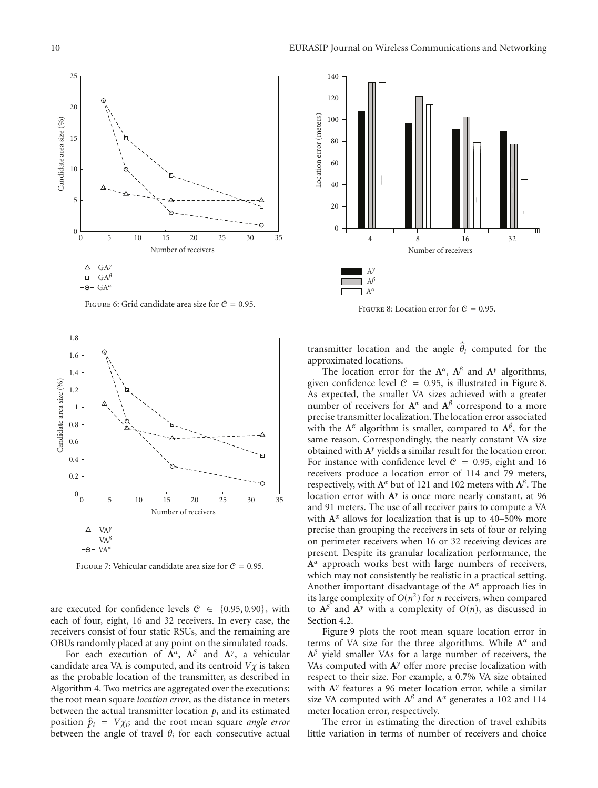



FIGURE 6: Grid candidate area size for  $C = 0.95$ .



FIGURE 7: Vehicular candidate area size for  $C = 0.95$ .

are executed for confidence levels  $C \in \{0.95, 0.90\}$ , with each of four, eight, 16 and 32 receivers. In every case, the receivers consist of four static RSUs, and the remaining are OBUs randomly placed at any point on the simulated roads.

For each execution of  $A^{\alpha}$ ,  $A^{\beta}$  and  $A^{\gamma}$ , a vehicular candidate area VA is computed, and its centroid  $V\chi$  is taken as the probable location of the transmitter, as described in Algorithm 4. Two metrics are aggregated over the executions: the root mean square *location error*, as the distance in meters between the actual transmitter location  $p_i$  and its estimated position  $\hat{p}_i = V \chi_i$ ; and the root mean square *angle error* between the angle of travel *θi* for each consecutive actual

FIGURE 8: Location error for  $C = 0.95$ .

A*α*

transmitter location and the angle  $\hat{\theta}_i$  computed for the approximated locations.

The location error for the  $A^{\alpha}$ ,  $A^{\beta}$  and  $A^{\gamma}$  algorithms, given confidence level  $C = 0.95$ , is illustrated in Figure 8. As expected, the smaller VA sizes achieved with a greater number of receivers for  $A^{\alpha}$  and  $A^{\beta}$  correspond to a more precise transmitter localization. The location error associated with the  $A^{\alpha}$  algorithm is smaller, compared to  $A^{\beta}$ , for the same reason. Correspondingly, the nearly constant VA size obtained with **A***<sup>γ</sup>* yields a similar result for the location error. For instance with confidence level  $C = 0.95$ , eight and 16 receivers produce a location error of 114 and 79 meters, respectively, with **A***<sup>α</sup>* but of 121 and 102 meters with **A***<sup>β</sup>*. The location error with **A***<sup>γ</sup>* is once more nearly constant, at 96 and 91 meters. The use of all receiver pairs to compute a VA with  $A^{\alpha}$  allows for localization that is up to 40–50% more precise than grouping the receivers in sets of four or relying on perimeter receivers when 16 or 32 receiving devices are present. Despite its granular localization performance, the **A***<sup>α</sup>* approach works best with large numbers of receivers, which may not consistently be realistic in a practical setting. Another important disadvantage of the **A***<sup>α</sup>* approach lies in its large complexity of  $O(n^2)$  for *n* receivers, when compared to  $A^{\beta}$  and  $A^{\gamma}$  with a complexity of  $O(n)$ , as discussed in Section 4.2.

Figure 9 plots the root mean square location error in terms of VA size for the three algorithms. While **A***<sup>α</sup>* and **A***<sup>β</sup>* yield smaller VAs for a large number of receivers, the VAs computed with **A***<sup>γ</sup>* offer more precise localization with respect to their size. For example, a 0.7% VA size obtained with **A***<sup>γ</sup>* features a 96 meter location error, while a similar size VA computed with  $A^{\beta}$  and  $A^{\alpha}$  generates a 102 and 114 meter location error, respectively.

The error in estimating the direction of travel exhibits little variation in terms of number of receivers and choice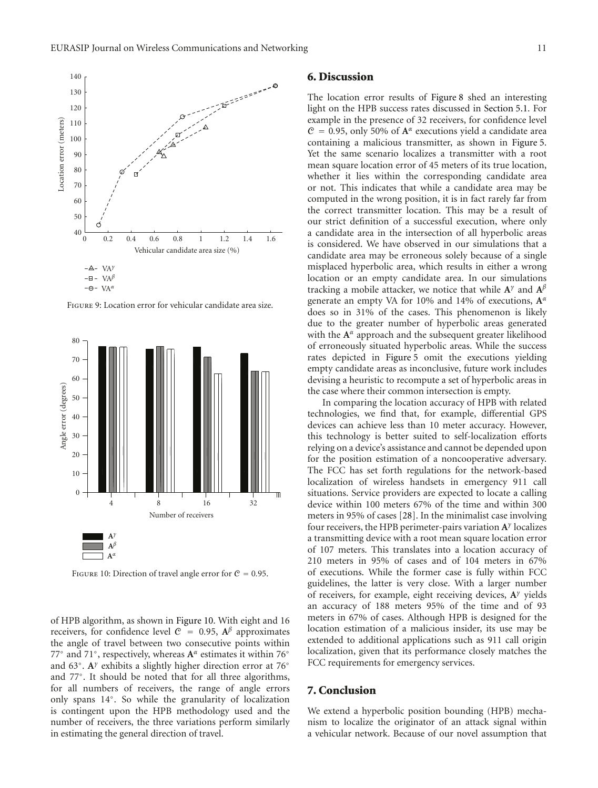

Figure 9: Location error for vehicular candidate area size.



FIGURE 10: Direction of travel angle error for  $C = 0.95$ .

of HPB algorithm, as shown in Figure 10. With eight and 16 receivers, for confidence level  $C = 0.95$ ,  $A^{\beta}$  approximates the angle of travel between two consecutive points within 77◦ and 71◦, respectively, whereas **A***<sup>α</sup>* estimates it within 76◦ and 63◦. **A***<sup>γ</sup>* exhibits a slightly higher direction error at 76◦ and 77◦. It should be noted that for all three algorithms, for all numbers of receivers, the range of angle errors only spans 14◦. So while the granularity of localization is contingent upon the HPB methodology used and the number of receivers, the three variations perform similarly in estimating the general direction of travel.

#### **6. Discussion**

The location error results of Figure 8 shed an interesting light on the HPB success rates discussed in Section 5.1. For example in the presence of 32 receivers, for confidence level  $C = 0.95$ , only 50% of  $A^{\alpha}$  executions yield a candidate area containing a malicious transmitter, as shown in Figure 5. Yet the same scenario localizes a transmitter with a root mean square location error of 45 meters of its true location, whether it lies within the corresponding candidate area or not. This indicates that while a candidate area may be computed in the wrong position, it is in fact rarely far from the correct transmitter location. This may be a result of our strict definition of a successful execution, where only a candidate area in the intersection of all hyperbolic areas is considered. We have observed in our simulations that a candidate area may be erroneous solely because of a single misplaced hyperbolic area, which results in either a wrong location or an empty candidate area. In our simulations tracking a mobile attacker, we notice that while **A***<sup>γ</sup>* and **A***<sup>β</sup>* generate an empty VA for 10% and 14% of executions, **A***<sup>α</sup>* does so in 31% of the cases. This phenomenon is likely due to the greater number of hyperbolic areas generated with the **A***<sup>α</sup>* approach and the subsequent greater likelihood of erroneously situated hyperbolic areas. While the success rates depicted in Figure 5 omit the executions yielding empty candidate areas as inconclusive, future work includes devising a heuristic to recompute a set of hyperbolic areas in the case where their common intersection is empty.

In comparing the location accuracy of HPB with related technologies, we find that, for example, differential GPS devices can achieve less than 10 meter accuracy. However, this technology is better suited to self-localization efforts relying on a device's assistance and cannot be depended upon for the position estimation of a noncooperative adversary. The FCC has set forth regulations for the network-based localization of wireless handsets in emergency 911 call situations. Service providers are expected to locate a calling device within 100 meters 67% of the time and within 300 meters in 95% of cases [28]. In the minimalist case involving four receivers, the HPB perimeter-pairs variation **A***<sup>γ</sup>* localizes a transmitting device with a root mean square location error of 107 meters. This translates into a location accuracy of 210 meters in 95% of cases and of 104 meters in 67% of executions. While the former case is fully within FCC guidelines, the latter is very close. With a larger number of receivers, for example, eight receiving devices, **A***<sup>γ</sup>* yields an accuracy of 188 meters 95% of the time and of 93 meters in 67% of cases. Although HPB is designed for the location estimation of a malicious insider, its use may be extended to additional applications such as 911 call origin localization, given that its performance closely matches the FCC requirements for emergency services.

#### **7. Conclusion**

We extend a hyperbolic position bounding (HPB) mechanism to localize the originator of an attack signal within a vehicular network. Because of our novel assumption that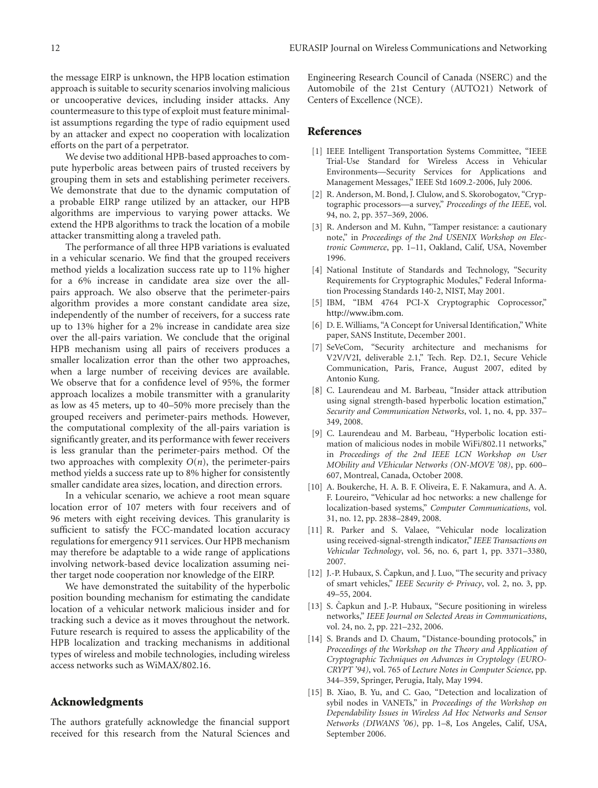the message EIRP is unknown, the HPB location estimation approach is suitable to security scenarios involving malicious or uncooperative devices, including insider attacks. Any countermeasure to this type of exploit must feature minimalist assumptions regarding the type of radio equipment used by an attacker and expect no cooperation with localization efforts on the part of a perpetrator.

We devise two additional HPB-based approaches to compute hyperbolic areas between pairs of trusted receivers by grouping them in sets and establishing perimeter receivers. We demonstrate that due to the dynamic computation of a probable EIRP range utilized by an attacker, our HPB algorithms are impervious to varying power attacks. We extend the HPB algorithms to track the location of a mobile attacker transmitting along a traveled path.

The performance of all three HPB variations is evaluated in a vehicular scenario. We find that the grouped receivers method yields a localization success rate up to 11% higher for a 6% increase in candidate area size over the allpairs approach. We also observe that the perimeter-pairs algorithm provides a more constant candidate area size, independently of the number of receivers, for a success rate up to 13% higher for a 2% increase in candidate area size over the all-pairs variation. We conclude that the original HPB mechanism using all pairs of receivers produces a smaller localization error than the other two approaches, when a large number of receiving devices are available. We observe that for a confidence level of 95%, the former approach localizes a mobile transmitter with a granularity as low as 45 meters, up to 40–50% more precisely than the grouped receivers and perimeter-pairs methods. However, the computational complexity of the all-pairs variation is significantly greater, and its performance with fewer receivers is less granular than the perimeter-pairs method. Of the two approaches with complexity  $O(n)$ , the perimeter-pairs method yields a success rate up to 8% higher for consistently smaller candidate area sizes, location, and direction errors.

In a vehicular scenario, we achieve a root mean square location error of 107 meters with four receivers and of 96 meters with eight receiving devices. This granularity is sufficient to satisfy the FCC-mandated location accuracy regulations for emergency 911 services. Our HPB mechanism may therefore be adaptable to a wide range of applications involving network-based device localization assuming neither target node cooperation nor knowledge of the EIRP.

We have demonstrated the suitability of the hyperbolic position bounding mechanism for estimating the candidate location of a vehicular network malicious insider and for tracking such a device as it moves throughout the network. Future research is required to assess the applicability of the HPB localization and tracking mechanisms in additional types of wireless and mobile technologies, including wireless access networks such as WiMAX/802.16.

## **Acknowledgments**

The authors gratefully acknowledge the financial support received for this research from the Natural Sciences and Engineering Research Council of Canada (NSERC) and the Automobile of the 21st Century (AUTO21) Network of Centers of Excellence (NCE).

#### **References**

- [1] IEEE Intelligent Transportation Systems Committee, "IEEE Trial-Use Standard for Wireless Access in Vehicular Environments—Security Services for Applications and Management Messages," IEEE Std 1609.2-2006, July 2006.
- [2] R. Anderson, M. Bond, J. Clulow, and S. Skorobogatov, "Cryptographic processors—a survey," *Proceedings of the IEEE*, vol. 94, no. 2, pp. 357–369, 2006.
- [3] R. Anderson and M. Kuhn, "Tamper resistance: a cautionary note," in *Proceedings of the 2nd USENIX Workshop on Electronic Commerce*, pp. 1–11, Oakland, Calif, USA, November 1996.
- [4] National Institute of Standards and Technology, "Security Requirements for Cryptographic Modules," Federal Information Processing Standards 140-2, NIST, May 2001.
- [5] IBM, "IBM 4764 PCI-X Cryptographic Coprocessor," http://www.ibm.com.
- [6] D. E. Williams, "A Concept for Universal Identification," White paper, SANS Institute, December 2001.
- [7] SeVeCom, "Security architecture and mechanisms for V2V/V2I, deliverable 2.1," Tech. Rep. D2.1, Secure Vehicle Communication, Paris, France, August 2007, edited by Antonio Kung.
- [8] C. Laurendeau and M. Barbeau, "Insider attack attribution using signal strength-based hyperbolic location estimation," *Security and Communication Networks*, vol. 1, no. 4, pp. 337– 349, 2008.
- [9] C. Laurendeau and M. Barbeau, "Hyperbolic location estimation of malicious nodes in mobile WiFi/802.11 networks," in *Proceedings of the 2nd IEEE LCN Workshop on User MObility and VEhicular Networks (ON-MOVE '08)*, pp. 600– 607, Montreal, Canada, October 2008.
- [10] A. Boukerche, H. A. B. F. Oliveira, E. F. Nakamura, and A. A. F. Loureiro, "Vehicular ad hoc networks: a new challenge for localization-based systems," *Computer Communications*, vol. 31, no. 12, pp. 2838–2849, 2008.
- [11] R. Parker and S. Valaee, "Vehicular node localization using received-signal-strength indicator," *IEEE Transactions on Vehicular Technology*, vol. 56, no. 6, part 1, pp. 3371–3380, 2007.
- [12] J.-P. Hubaux, S. Čapkun, and J. Luo, "The security and privacy of smart vehicles," *IEEE Security & Privacy*, vol. 2, no. 3, pp. 49–55, 2004.
- [13] S. Čapkun and J.-P. Hubaux, "Secure positioning in wireless networks," *IEEE Journal on Selected Areas in Communications*, vol. 24, no. 2, pp. 221–232, 2006.
- [14] S. Brands and D. Chaum, "Distance-bounding protocols," in *Proceedings of the Workshop on the Theory and Application of Cryptographic Techniques on Advances in Cryptology (EURO-CRYPT '94)*, vol. 765 of *Lecture Notes in Computer Science*, pp. 344–359, Springer, Perugia, Italy, May 1994.
- [15] B. Xiao, B. Yu, and C. Gao, "Detection and localization of sybil nodes in VANETs," in *Proceedings of the Workshop on Dependability Issues in Wireless Ad Hoc Networks and Sensor Networks (DIWANS '06)*, pp. 1–8, Los Angeles, Calif, USA, September 2006.